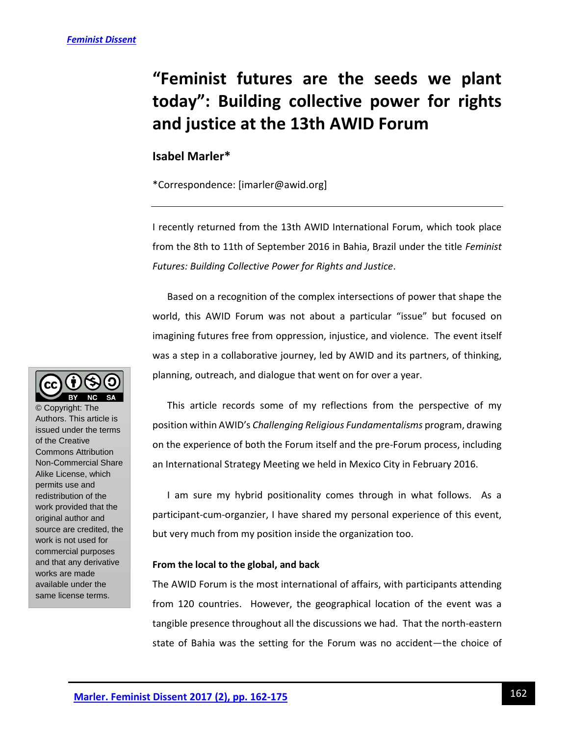# **"Feminist futures are the seeds we plant today": Building collective power for rights and justice at the 13th AWID Forum**

## **Isabel Marler\***

\*Correspondence: [imarler@awid.org]

I recently returned from the 13th AWID International Forum, which took place from the 8th to 11th of September 2016 in Bahia, Brazil under the title *Feminist Futures: Building Collective Power for Rights and Justice*.

Based on a recognition of the complex intersections of power that shape the world, this AWID Forum was not about a particular "issue" but focused on imagining futures free from oppression, injustice, and violence. The event itself was a step in a collaborative journey, led by AWID and its partners, of thinking, planning, outreach, and dialogue that went on for over a year.

This article records some of my reflections from the perspective of my position within AWID's *Challenging Religious Fundamentalisms* program, drawing on the experience of both the Forum itself and the pre-Forum process, including an International Strategy Meeting we held in Mexico City in February 2016.

I am sure my hybrid positionality comes through in what follows. As a participant-cum-organzier, I have shared my personal experience of this event, but very much from my position inside the organization too.

### **From the local to the global, and back**

The AWID Forum is the most international of affairs, with participants attending from 120 countries. However, the geographical location of the event was a tangible presence throughout all the discussions we had. That the north-eastern state of Bahia was the setting for the Forum was no accident—the choice of



© Copyright: The Authors. This article is issued under the terms of the Creative Commons Attribution Non-Commercial Share Alike License, which permits use and redistribution of the work provided that the original author and source are credited, the work is not used for commercial purposes and that any derivative works are made available under the same license terms.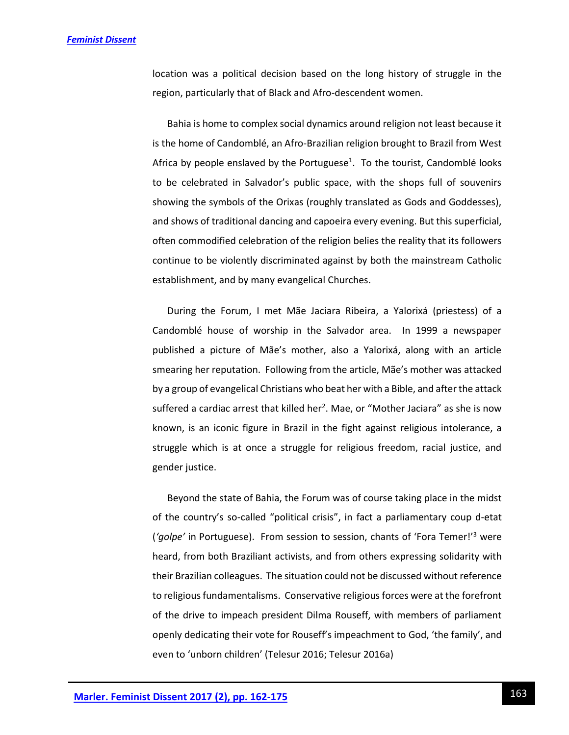location was a political decision based on the long history of struggle in the region, particularly that of Black and Afro-descendent women.

Bahia is home to complex social dynamics around religion not least because it is the home of Candomblé, an Afro-Brazilian religion brought to Brazil from West Africa by people enslaved by the Portuguese<sup>1</sup>. To the tourist, Candomblé looks to be celebrated in Salvador's public space, with the shops full of souvenirs showing the symbols of the Orixas (roughly translated as Gods and Goddesses), and shows of traditional dancing and capoeira every evening. But this superficial, often commodified celebration of the religion belies the reality that its followers continue to be violently discriminated against by both the mainstream Catholic establishment, and by many evangelical Churches.

During the Forum, I met Mãe Jaciara Ribeira, a Yalorixá (priestess) of a Candomblé house of worship in the Salvador area. In 1999 a newspaper published a picture of Mãe's mother, also a Yalorixá, along with an article smearing her reputation. Following from the article, Mãe's mother was attacked by a group of evangelical Christians who beat her with a Bible, and after the attack suffered a cardiac arrest that killed her<sup>2</sup>. Mae, or "Mother Jaciara" as she is now known, is an iconic figure in Brazil in the fight against religious intolerance, a struggle which is at once a struggle for religious freedom, racial justice, and gender justice.

Beyond the state of Bahia, the Forum was of course taking place in the midst of the country's so-called "political crisis", in fact a parliamentary coup d-etat (*'golpe'* in Portuguese). From session to session, chants of 'Fora Temer!'<sup>3</sup> were heard, from both Braziliant activists, and from others expressing solidarity with their Brazilian colleagues. The situation could not be discussed without reference to religious fundamentalisms. Conservative religious forces were at the forefront of the drive to impeach president Dilma Rouseff, with members of parliament openly dedicating their vote for Rouseff's impeachment to God, 'the family', and even to 'unborn children' (Telesur 2016; Telesur 2016a)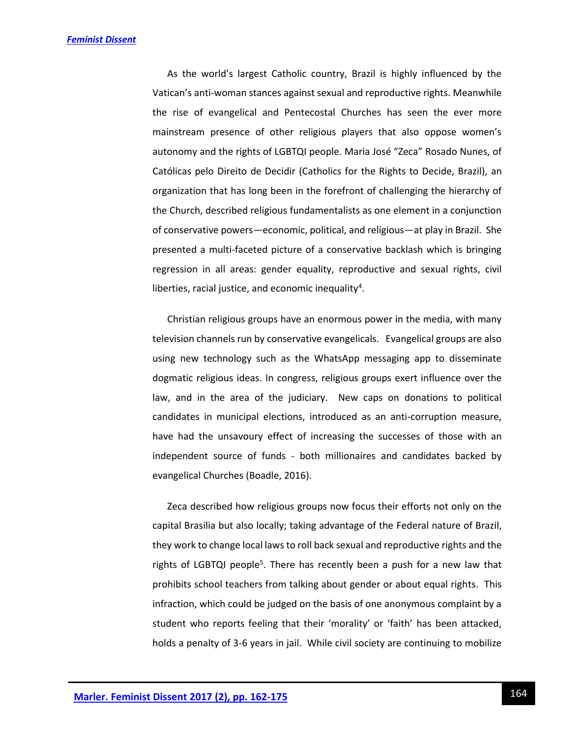As the world's largest Catholic country, Brazil is highly influenced by the Vatican's anti-woman stances against sexual and reproductive rights. Meanwhile the rise of evangelical and Pentecostal Churches has seen the ever more mainstream presence of other religious players that also oppose women's autonomy and the rights of LGBTQI people. Maria José "Zeca" Rosado Nunes, of Católicas pelo Direito de Decidir (Catholics for the Rights to Decide, Brazil), an organization that has long been in the forefront of challenging the hierarchy of the Church, described religious fundamentalists as one element in a conjunction of conservative powers—economic, political, and religious—at play in Brazil. She presented a multi-faceted picture of a conservative backlash which is bringing regression in all areas: gender equality, reproductive and sexual rights, civil liberties, racial justice, and economic inequality<sup>4</sup>.

Christian religious groups have an enormous power in the media, with many television channels run by conservative evangelicals. Evangelical groups are also using new technology such as the WhatsApp messaging app to disseminate dogmatic religious ideas. In congress, religious groups exert influence over the law, and in the area of the judiciary. New caps on donations to political candidates in municipal elections, introduced as an anti-corruption measure, have had the unsavoury effect of increasing the successes of those with an independent source of funds - both millionaires and candidates backed by evangelical Churches (Boadle, 2016).

Zeca described how religious groups now focus their efforts not only on the capital Brasilia but also locally; taking advantage of the Federal nature of Brazil, they work to change local laws to roll back sexual and reproductive rights and the rights of LGBTQI people<sup>5</sup>. There has recently been a push for a new law that prohibits school teachers from talking about gender or about equal rights. This infraction, which could be judged on the basis of one anonymous complaint by a student who reports feeling that their 'morality' or 'faith' has been attacked, holds a penalty of 3-6 years in jail. While civil society are continuing to mobilize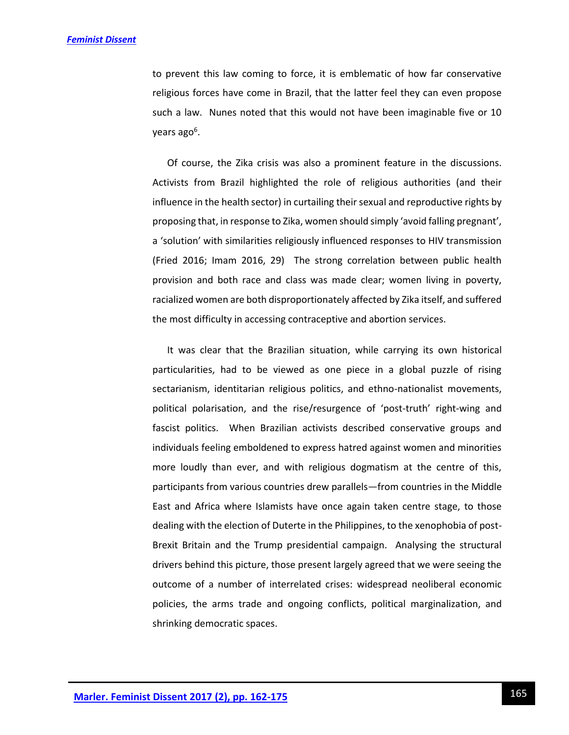to prevent this law coming to force, it is emblematic of how far conservative religious forces have come in Brazil, that the latter feel they can even propose such a law. Nunes noted that this would not have been imaginable five or 10 years ago<sup>6</sup>.

Of course, the Zika crisis was also a prominent feature in the discussions. Activists from Brazil highlighted the role of religious authorities (and their influence in the health sector) in curtailing their sexual and reproductive rights by proposing that, in response to Zika, women should simply 'avoid falling pregnant', a 'solution' with similarities religiously influenced responses to HIV transmission (Fried 2016; Imam 2016, 29) The strong correlation between public health provision and both race and class was made clear; women living in poverty, racialized women are both disproportionately affected by Zika itself, and suffered the most difficulty in accessing contraceptive and abortion services.

It was clear that the Brazilian situation, while carrying its own historical particularities, had to be viewed as one piece in a global puzzle of rising sectarianism, identitarian religious politics, and ethno-nationalist movements, political polarisation, and the rise/resurgence of 'post-truth' right-wing and fascist politics. When Brazilian activists described conservative groups and individuals feeling emboldened to express hatred against women and minorities more loudly than ever, and with religious dogmatism at the centre of this, participants from various countries drew parallels—from countries in the Middle East and Africa where Islamists have once again taken centre stage, to those dealing with the election of Duterte in the Philippines, to the xenophobia of post-Brexit Britain and the Trump presidential campaign. Analysing the structural drivers behind this picture, those present largely agreed that we were seeing the outcome of a number of interrelated crises: widespread neoliberal economic policies, the arms trade and ongoing conflicts, political marginalization, and shrinking democratic spaces.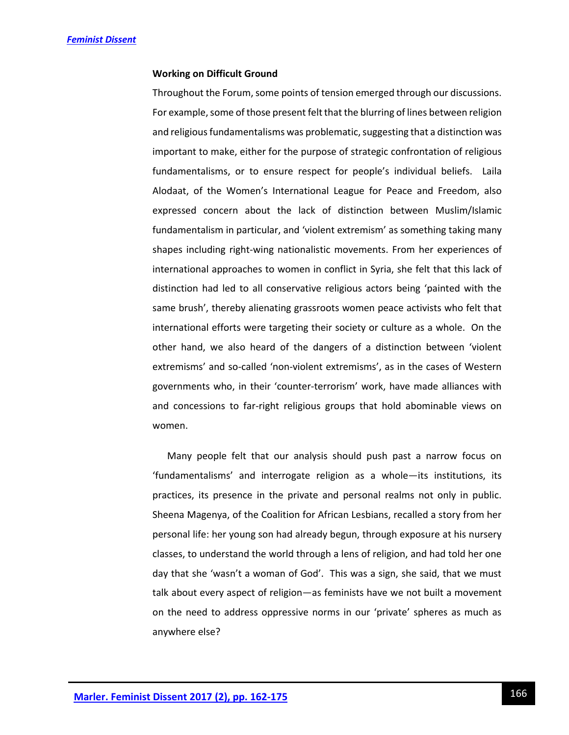### **Working on Difficult Ground**

Throughout the Forum, some points of tension emerged through our discussions. For example, some of those present felt that the blurring of lines between religion and religious fundamentalisms was problematic, suggesting that a distinction was important to make, either for the purpose of strategic confrontation of religious fundamentalisms, or to ensure respect for people's individual beliefs. Laila Alodaat, of the Women's International League for Peace and Freedom, also expressed concern about the lack of distinction between Muslim/Islamic fundamentalism in particular, and 'violent extremism' as something taking many shapes including right-wing nationalistic movements. From her experiences of international approaches to women in conflict in Syria, she felt that this lack of distinction had led to all conservative religious actors being 'painted with the same brush', thereby alienating grassroots women peace activists who felt that international efforts were targeting their society or culture as a whole. On the other hand, we also heard of the dangers of a distinction between 'violent extremisms' and so-called 'non-violent extremisms', as in the cases of Western governments who, in their 'counter-terrorism' work, have made alliances with and concessions to far-right religious groups that hold abominable views on women.

Many people felt that our analysis should push past a narrow focus on 'fundamentalisms' and interrogate religion as a whole—its institutions, its practices, its presence in the private and personal realms not only in public. Sheena Magenya, of the Coalition for African Lesbians, recalled a story from her personal life: her young son had already begun, through exposure at his nursery classes, to understand the world through a lens of religion, and had told her one day that she 'wasn't a woman of God'. This was a sign, she said, that we must talk about every aspect of religion—as feminists have we not built a movement on the need to address oppressive norms in our 'private' spheres as much as anywhere else?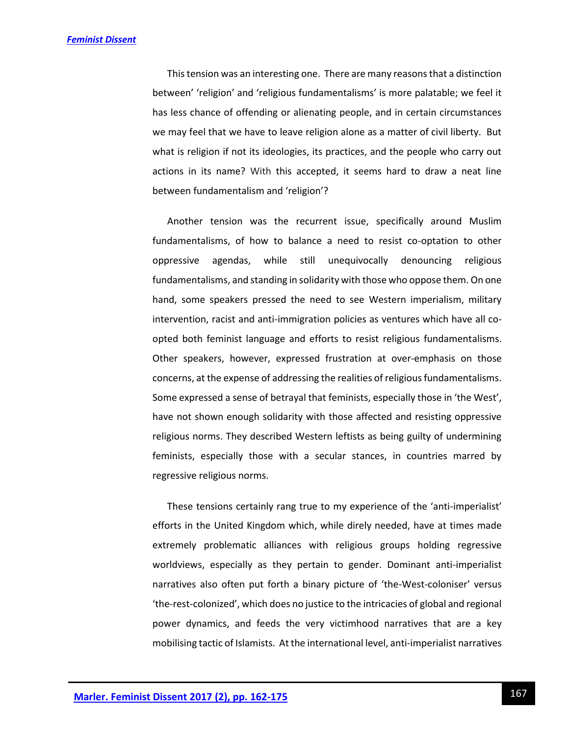This tension was an interesting one. There are many reasons that a distinction between' 'religion' and 'religious fundamentalisms' is more palatable; we feel it has less chance of offending or alienating people, and in certain circumstances we may feel that we have to leave religion alone as a matter of civil liberty. But what is religion if not its ideologies, its practices, and the people who carry out actions in its name? With this accepted, it seems hard to draw a neat line between fundamentalism and 'religion'?

Another tension was the recurrent issue, specifically around Muslim fundamentalisms, of how to balance a need to resist co-optation to other oppressive agendas, while still unequivocally denouncing religious fundamentalisms, and standing in solidarity with those who oppose them. On one hand, some speakers pressed the need to see Western imperialism, military intervention, racist and anti-immigration policies as ventures which have all coopted both feminist language and efforts to resist religious fundamentalisms. Other speakers, however, expressed frustration at over-emphasis on those concerns, at the expense of addressing the realities of religious fundamentalisms. Some expressed a sense of betrayal that feminists, especially those in 'the West', have not shown enough solidarity with those affected and resisting oppressive religious norms. They described Western leftists as being guilty of undermining feminists, especially those with a secular stances, in countries marred by regressive religious norms.

These tensions certainly rang true to my experience of the 'anti-imperialist' efforts in the United Kingdom which, while direly needed, have at times made extremely problematic alliances with religious groups holding regressive worldviews, especially as they pertain to gender. Dominant anti-imperialist narratives also often put forth a binary picture of 'the-West-coloniser' versus 'the-rest-colonized', which does no justice to the intricacies of global and regional power dynamics, and feeds the very victimhood narratives that are a key mobilising tactic of Islamists. At the international level, anti-imperialist narratives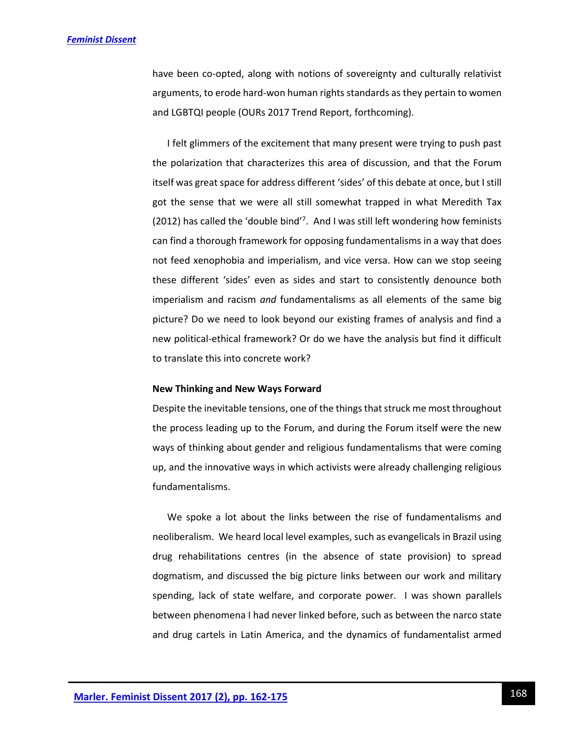have been co-opted, along with notions of sovereignty and culturally relativist arguments, to erode hard-won human rights standards as they pertain to women and LGBTQI people (OURs 2017 Trend Report, forthcoming).

I felt glimmers of the excitement that many present were trying to push past the polarization that characterizes this area of discussion, and that the Forum itself was great space for address different 'sides' of this debate at once, but I still got the sense that we were all still somewhat trapped in what Meredith Tax (2012) has called the 'double bind'<sup>7</sup> . And I was still left wondering how feminists can find a thorough framework for opposing fundamentalisms in a way that does not feed xenophobia and imperialism, and vice versa. How can we stop seeing these different 'sides' even as sides and start to consistently denounce both imperialism and racism *and* fundamentalisms as all elements of the same big picture? Do we need to look beyond our existing frames of analysis and find a new political-ethical framework? Or do we have the analysis but find it difficult to translate this into concrete work?

### **New Thinking and New Ways Forward**

Despite the inevitable tensions, one of the things that struck me most throughout the process leading up to the Forum, and during the Forum itself were the new ways of thinking about gender and religious fundamentalisms that were coming up, and the innovative ways in which activists were already challenging religious fundamentalisms.

We spoke a lot about the links between the rise of fundamentalisms and neoliberalism. We heard local level examples, such as evangelicals in Brazil using drug rehabilitations centres (in the absence of state provision) to spread dogmatism, and discussed the big picture links between our work and military spending, lack of state welfare, and corporate power. I was shown parallels between phenomena I had never linked before, such as between the narco state and drug cartels in Latin America, and the dynamics of fundamentalist armed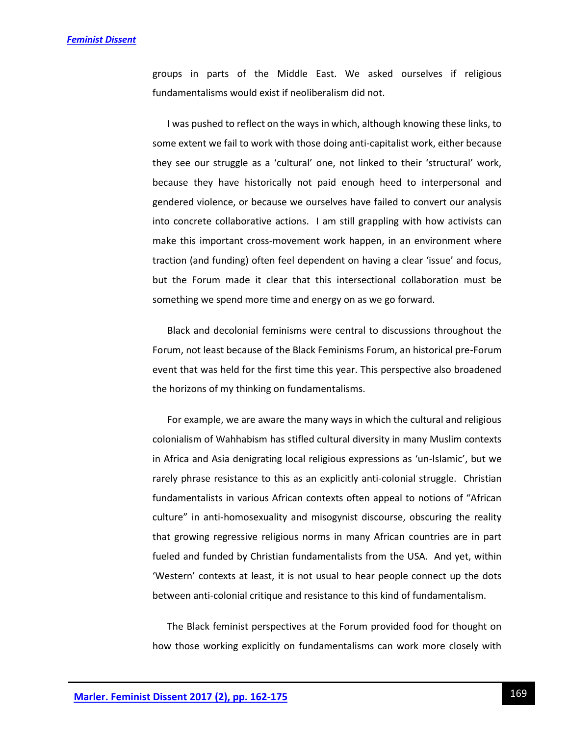groups in parts of the Middle East. We asked ourselves if religious fundamentalisms would exist if neoliberalism did not.

I was pushed to reflect on the ways in which, although knowing these links, to some extent we fail to work with those doing anti-capitalist work, either because they see our struggle as a 'cultural' one, not linked to their 'structural' work, because they have historically not paid enough heed to interpersonal and gendered violence, or because we ourselves have failed to convert our analysis into concrete collaborative actions. I am still grappling with how activists can make this important cross-movement work happen, in an environment where traction (and funding) often feel dependent on having a clear 'issue' and focus, but the Forum made it clear that this intersectional collaboration must be something we spend more time and energy on as we go forward.

Black and decolonial feminisms were central to discussions throughout the Forum, not least because of the Black Feminisms Forum, an historical pre-Forum event that was held for the first time this year. This perspective also broadened the horizons of my thinking on fundamentalisms.

For example, we are aware the many ways in which the cultural and religious colonialism of Wahhabism has stifled cultural diversity in many Muslim contexts in Africa and Asia denigrating local religious expressions as 'un-Islamic', but we rarely phrase resistance to this as an explicitly anti-colonial struggle. Christian fundamentalists in various African contexts often appeal to notions of "African culture" in anti-homosexuality and misogynist discourse, obscuring the reality that growing regressive religious norms in many African countries are in part fueled and funded by Christian fundamentalists from the USA. And yet, within 'Western' contexts at least, it is not usual to hear people connect up the dots between anti-colonial critique and resistance to this kind of fundamentalism.

The Black feminist perspectives at the Forum provided food for thought on how those working explicitly on fundamentalisms can work more closely with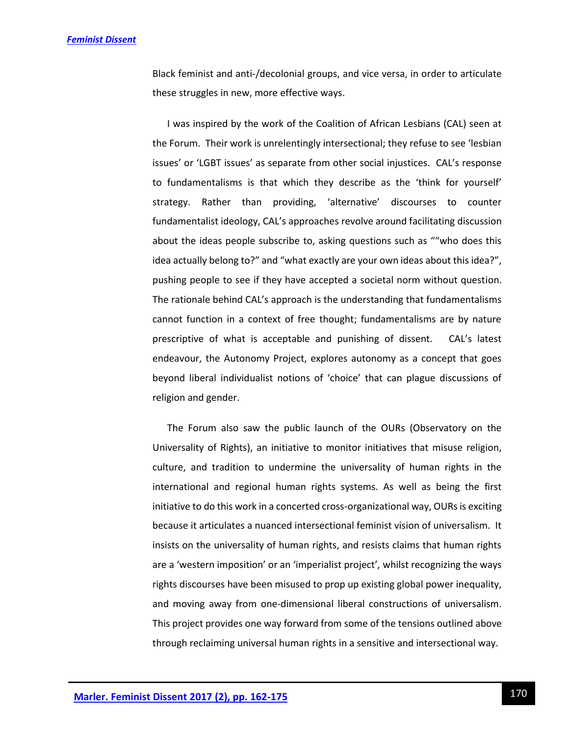Black feminist and anti-/decolonial groups, and vice versa, in order to articulate these struggles in new, more effective ways.

I was inspired by the work of the Coalition of African Lesbians (CAL) seen at the Forum. Their work is unrelentingly intersectional; they refuse to see 'lesbian issues' or 'LGBT issues' as separate from other social injustices. CAL's response to fundamentalisms is that which they describe as the 'think for yourself' strategy. Rather than providing, 'alternative' discourses to counter fundamentalist ideology, CAL's approaches revolve around facilitating discussion about the ideas people subscribe to, asking questions such as ""who does this idea actually belong to?" and "what exactly are your own ideas about this idea?", pushing people to see if they have accepted a societal norm without question. The rationale behind CAL's approach is the understanding that fundamentalisms cannot function in a context of free thought; fundamentalisms are by nature prescriptive of what is acceptable and punishing of dissent. CAL's latest endeavour, the Autonomy Project, explores autonomy as a concept that goes beyond liberal individualist notions of 'choice' that can plague discussions of religion and gender.

The Forum also saw the public launch of the OURs (Observatory on the Universality of Rights), an initiative to monitor initiatives that misuse religion, culture, and tradition to undermine the universality of human rights in the international and regional human rights systems. As well as being the first initiative to do this work in a concerted cross-organizational way, OURs is exciting because it articulates a nuanced intersectional feminist vision of universalism. It insists on the universality of human rights, and resists claims that human rights are a 'western imposition' or an 'imperialist project', whilst recognizing the ways rights discourses have been misused to prop up existing global power inequality, and moving away from one-dimensional liberal constructions of universalism. This project provides one way forward from some of the tensions outlined above through reclaiming universal human rights in a sensitive and intersectional way.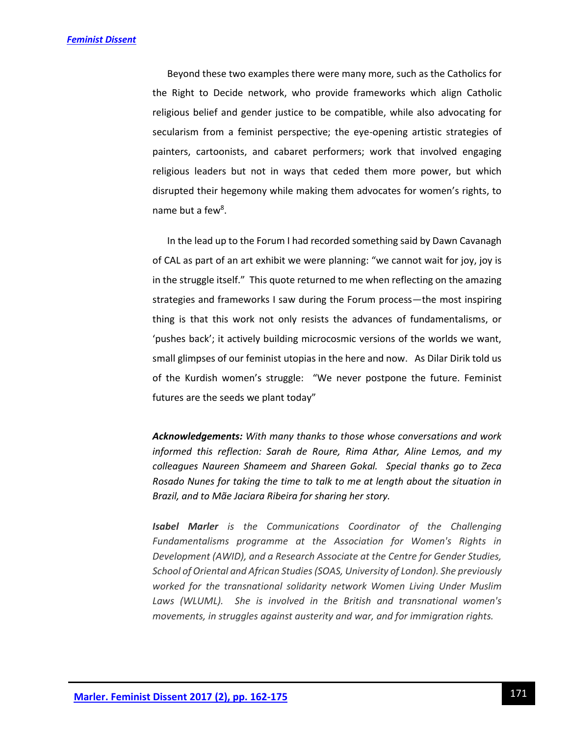Beyond these two examples there were many more, such as the Catholics for the Right to Decide network, who provide frameworks which align Catholic religious belief and gender justice to be compatible, while also advocating for secularism from a feminist perspective; the eye-opening artistic strategies of painters, cartoonists, and cabaret performers; work that involved engaging religious leaders but not in ways that ceded them more power, but which disrupted their hegemony while making them advocates for women's rights, to name but a few<sup>8</sup>.

In the lead up to the Forum I had recorded something said by Dawn Cavanagh of CAL as part of an art exhibit we were planning: "we cannot wait for joy, joy is in the struggle itself." This quote returned to me when reflecting on the amazing strategies and frameworks I saw during the Forum process—the most inspiring thing is that this work not only resists the advances of fundamentalisms, or 'pushes back'; it actively building microcosmic versions of the worlds we want, small glimpses of our feminist utopias in the here and now. As Dilar Dirik told us of the Kurdish women's struggle: "We never postpone the future. Feminist futures are the seeds we plant today"

*Acknowledgements: With many thanks to those whose conversations and work informed this reflection: Sarah de Roure, Rima Athar, Aline Lemos, and my colleagues Naureen Shameem and Shareen Gokal. Special thanks go to Zeca Rosado Nunes for taking the time to talk to me at length about the situation in Brazil, and to Mãe Jaciara Ribeira for sharing her story.*

*Isabel Marler is the Communications Coordinator of the Challenging Fundamentalisms programme at the Association for Women's Rights in Development (AWID), and a Research Associate at the Centre for Gender Studies, School of Oriental and African Studies(SOAS, University of London). She previously worked for the transnational solidarity network Women Living Under Muslim Laws (WLUML). She is involved in the British and transnational women's movements, in struggles against austerity and war, and for immigration rights.*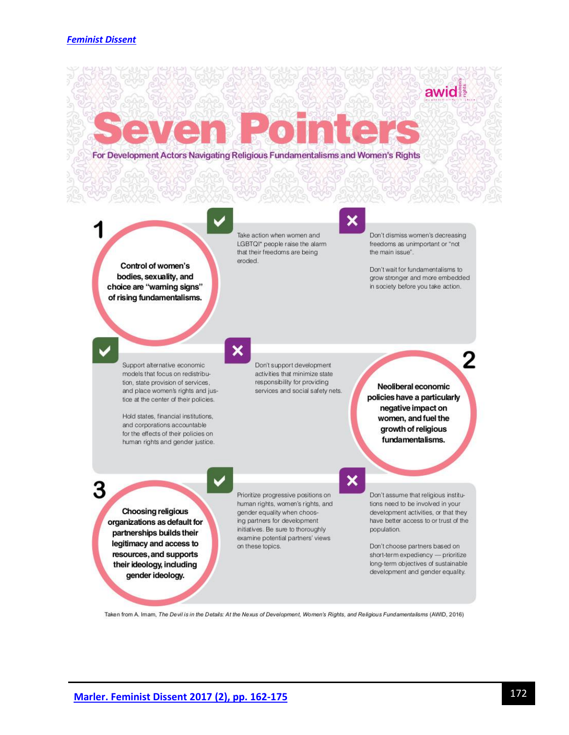For Development Actors Navigating Religious Fundamentalisms and Women's Rights

Control of women's bodies, sexuality, and choice are "warning signs" of rising fundamentalisms.

Take action when women and LGBTQI\* people raise the alarm that their freedoms are being eroded.

# ×

Don't dismiss women's decreasing freedoms as unimportant or "not the main issue".

awid

Don't wait for fundamentalisms to grow stronger and more embedded in society before you take action.

╱

Support alternative economic models that focus on redistribution, state provision of services, and place women's rights and justice at the center of their policies.

Hold states, financial institutions, and corporations accountable for the effects of their policies on human rights and gender justice.

3

**Choosing religious** organizations as default for partnerships builds their legitimacy and access to resources, and supports their ideology, including gender ideology.

# ×

Don't support development activities that minimize state responsibility for providing services and social safety nets.

Neoliberal economic policies have a particularly negative impact on women, and fuel the growth of religious fundamentalisms.

# $\boldsymbol{\mathsf{x}}$

Don't assume that religious institutions need to be involved in your development activities, or that they have better access to or trust of the population.

Don't choose partners based on short-term expediency - prioritize long-term objectives of sustainable development and gender equality.

Taken from A. Imam, The Devil is in the Details: At the Nexus of Development, Women's Rights, and Religious Fundamentalisms (AWID, 2016)

Prioritize progressive positions on

human rights, women's rights, and

gender equality when choos-

ing partners for development

on these topics.

initiatives. Be sure to thoroughly

examine potential partners' views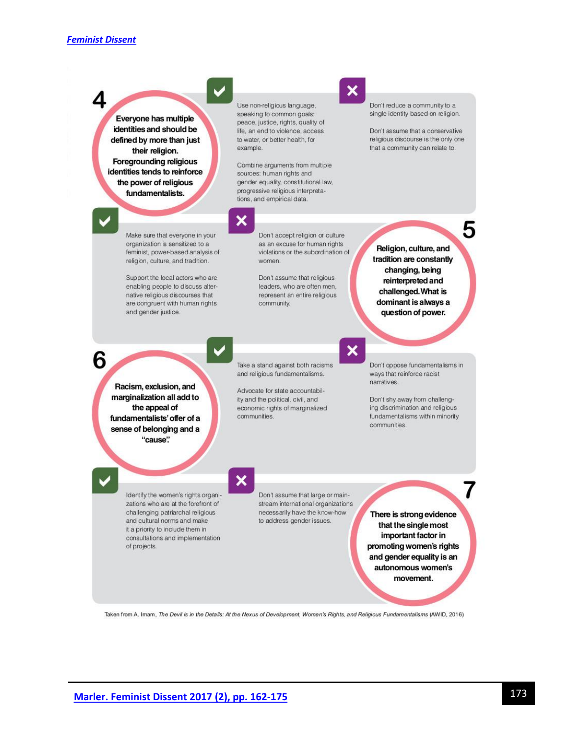Use non-religious language, Don't reduce a community to a single identity based on religion. speaking to common goals: Everyone has multiple peace, justice, rights, quality of identities and should be Don't assume that a conservative life, an end to violence, access to water, or better health, for religious discourse is the only one defined by more than just example. that a community can relate to. their religion. **Foregrounding religious** Combine arguments from multiple identities tends to reinforce sources: human rights and gender equality, constitutional law, the power of religious progressive religious interpretafundamentalists. tions, and empirical data. x 5 Make sure that everyone in your Don't accept religion or culture organization is sensitized to a as an excuse for human rights Religion, culture, and feminist, power-based analysis of violations or the subordination of tradition are constantly religion, culture, and tradition. women. changing, being Support the local actors who are Don't assume that religious reinterpreted and enabling people to discuss alterleaders, who are often men, challenged. What is native religious discourses that represent an entire religious dominant is always a are congruent with human rights community. and gender justice. question of power. × 6 Take a stand against both racisms Don't oppose fundamentalisms in and religious fundamentalisms. ways that reinforce racist narratives. Racism, exclusion, and Advocate for state accountabilmarginalization all add to ity and the political, civil, and Don't shy away from challengthe appeal of ing discrimination and religious economic rights of marginalized communities. fundamentalisms within minority fundamentalists' offer of a communities. sense of belonging and a "cause".  $\boldsymbol{\mathsf{x}}$ Identify the women's rights organi-Don't assume that large or mainzations who are at the forefront of stream international organizations challenging patriarchal religious necessarily have the know-how There is strong evidence and cultural norms and make to address gender issues. that the single most it a priority to include them in important factor in consultations and implementation promoting women's rights of projects. and gender equality is an autonomous women's movement.

Taken from A. Imam, The Devil is in the Details: At the Nexus of Development, Women's Rights, and Religious Fundamentalisms (AWID, 2016)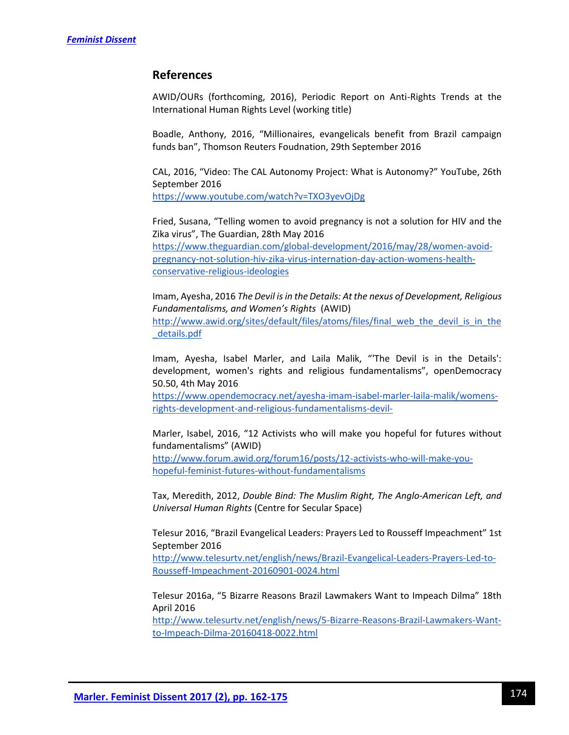# **References**

AWID/OURs (forthcoming, 2016), Periodic Report on Anti-Rights Trends at the International Human Rights Level (working title)

Boadle, Anthony, 2016, "Millionaires, evangelicals benefit from Brazil campaign funds ban", Thomson Reuters Foudnation, 29th September 2016

CAL, 2016, "Video: The CAL Autonomy Project: What is Autonomy?" YouTube, 26th September 2016 <https://www.youtube.com/watch?v=TXO3yevOjDg>

Fried, Susana, "Telling women to avoid pregnancy is not a solution for HIV and the Zika virus", The Guardian, 28th May 2016 [https://www.theguardian.com/global-development/2016/may/28/women-avoid](https://www.theguardian.com/global-development/2016/may/28/women-avoid-pregnancy-not-solution-hiv-zika-virus-internation-day-action-womens-health-conservative-religious-ideologies)[pregnancy-not-solution-hiv-zika-virus-internation-day-action-womens-health](https://www.theguardian.com/global-development/2016/may/28/women-avoid-pregnancy-not-solution-hiv-zika-virus-internation-day-action-womens-health-conservative-religious-ideologies)[conservative-religious-ideologies](https://www.theguardian.com/global-development/2016/may/28/women-avoid-pregnancy-not-solution-hiv-zika-virus-internation-day-action-womens-health-conservative-religious-ideologies)

Imam, Ayesha, 2016 *The Devil is in the Details: At the nexus of Development, Religious Fundamentalisms, and Women's Rights* (AWID) [http://www.awid.org/sites/default/files/atoms/files/final\\_web\\_the\\_devil\\_is\\_in\\_the](http://www.awid.org/sites/default/files/atoms/files/final_web_the_devil_is_in_the_details.pdf) [\\_details.pdf](http://www.awid.org/sites/default/files/atoms/files/final_web_the_devil_is_in_the_details.pdf)

Imam, Ayesha, Isabel Marler, and Laila Malik, "'The Devil is in the Details': development, women's rights and religious fundamentalisms", openDemocracy 50.50, 4th May 2016

[https://www.opendemocracy.net/ayesha-imam-isabel-marler-laila-malik/womens](https://www.opendemocracy.net/ayesha-imam-isabel-marler-laila-malik/womens-rights-development-and-religious-fundamentalisms-devil-)[rights-development-and-religious-fundamentalisms-devil-](https://www.opendemocracy.net/ayesha-imam-isabel-marler-laila-malik/womens-rights-development-and-religious-fundamentalisms-devil-)

Marler, Isabel, 2016, "12 Activists who will make you hopeful for futures without fundamentalisms" (AWID) [http://www.forum.awid.org/forum16/posts/12-activists-who-will-make-you](http://www.forum.awid.org/forum16/posts/12-activists-who-will-make-you-hopeful-feminist-futures-without-fundamentalisms)[hopeful-feminist-futures-without-fundamentalisms](http://www.forum.awid.org/forum16/posts/12-activists-who-will-make-you-hopeful-feminist-futures-without-fundamentalisms)

Tax, Meredith, 2012, *Double Bind: The Muslim Right, The Anglo-American Left, and Universal Human Rights* (Centre for Secular Space)

Telesur 2016, "Brazil Evangelical Leaders: Prayers Led to Rousseff Impeachment" 1st September 2016

[http://www.telesurtv.net/english/news/Brazil-Evangelical-Leaders-Prayers-Led-to-](http://www.telesurtv.net/english/news/Brazil-Evangelical-Leaders-Prayers-Led-to-Rousseff-Impeachment-20160901-0024.html)[Rousseff-Impeachment-20160901-0024.html](http://www.telesurtv.net/english/news/Brazil-Evangelical-Leaders-Prayers-Led-to-Rousseff-Impeachment-20160901-0024.html)

Telesur 2016a, "5 Bizarre Reasons Brazil Lawmakers Want to Impeach Dilma" 18th April 2016

[http://www.telesurtv.net/english/news/5-Bizarre-Reasons-Brazil-Lawmakers-Want](http://www.telesurtv.net/english/news/5-Bizarre-Reasons-Brazil-Lawmakers-Want-to-Impeach-Dilma-20160418-0022.html)[to-Impeach-Dilma-20160418-0022.html](http://www.telesurtv.net/english/news/5-Bizarre-Reasons-Brazil-Lawmakers-Want-to-Impeach-Dilma-20160418-0022.html)